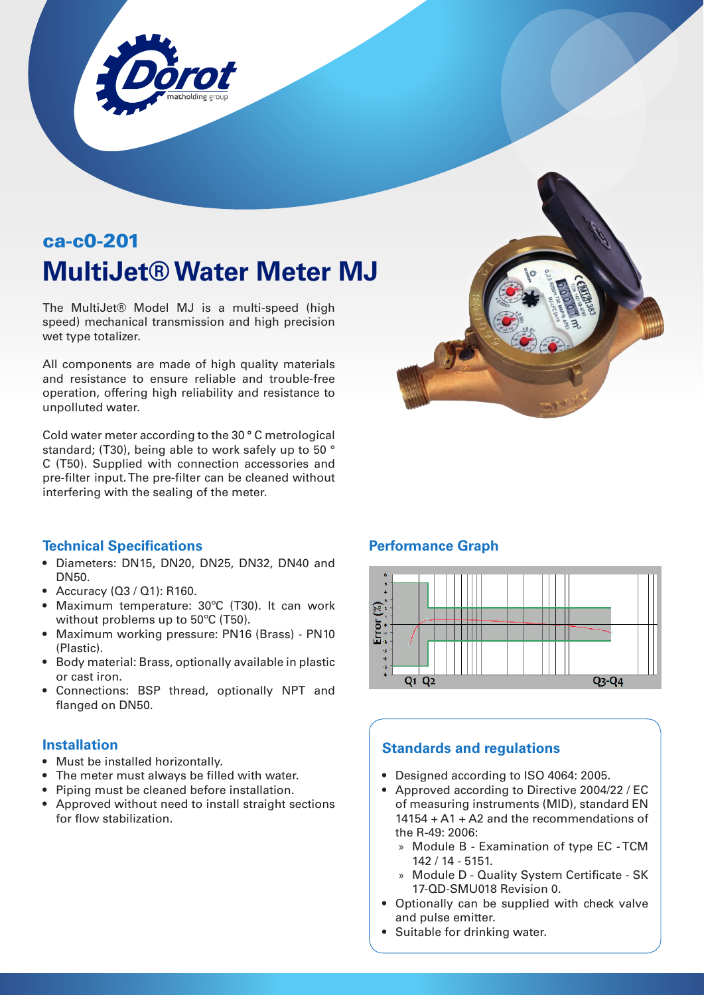

# ca-c0-201 **MultiJet® Water Meter MJ**

The MultiJet® Model MJ is a multi-speed (high speed) mechanical transmission and high precision wet type totalizer.

All components are made of high quality materials and resistance to ensure reliable and trouble-free operation, offering high reliability and resistance to unpolluted water.

Cold water meter according to the 30 ° C metrological standard; (T30), being able to work safely up to 50 ° C (T50). Supplied with connection accessories and pre-filter input. The pre-filter can be cleaned without interfering with the sealing of the meter.



#### **Technical Specifications**

- Diameters: DN15, DN20, DN25, DN32, DN40 and DN50.
- Accuracy (Q3 / Q1): R160.
- Maximum temperature: 30ºC (T30). It can work without problems up to 50ºC (T50).
- Maximum working pressure: PN16 (Brass) PN10 (Plastic).
- Body material: Brass, optionally available in plastic or cast iron.
- Connections: BSP thread, optionally NPT and flanged on DN50.

#### **Installation**

- Must be installed horizontally.
- The meter must always be filled with water.
- Piping must be cleaned before installation.
- Approved without need to install straight sections for flow stabilization.

#### **Performance Graph**



#### **Standards and regulations**

- Designed according to ISO 4064: 2005.
- Approved according to Directive 2004/22 / EC of measuring instruments (MID), standard EN 14154 + A1 + A2 and the recommendations of the R-49: 2006:
	- » Module B Examination of type EC TCM 142 / 14 - 5151.
	- » Module D Quality System Certificate SK 17-QD-SMU018 Revision 0.
- Optionally can be supplied with check valve and pulse emitter.
- Suitable for drinking water.